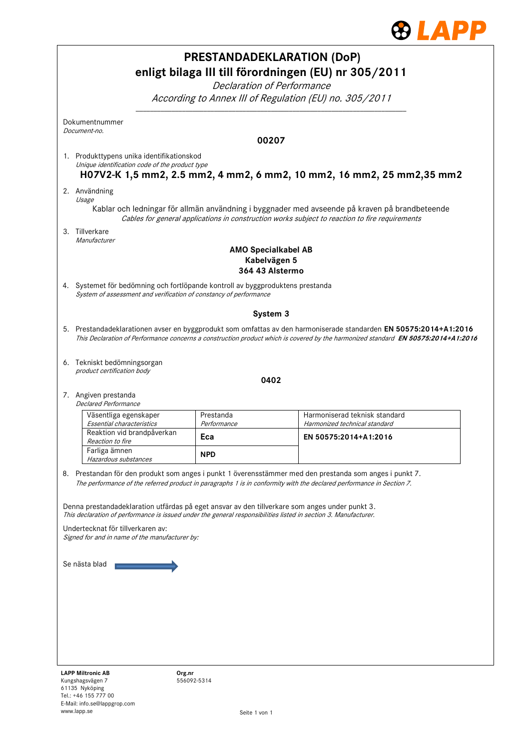

|                                                                                                                                                     |                          | <b>PRESTANDADEKLARATION (DoP)</b>                                                                                                                                                                                                                      |
|-----------------------------------------------------------------------------------------------------------------------------------------------------|--------------------------|--------------------------------------------------------------------------------------------------------------------------------------------------------------------------------------------------------------------------------------------------------|
|                                                                                                                                                     |                          | enligt bilaga III till förordningen (EU) nr 305/2011                                                                                                                                                                                                   |
|                                                                                                                                                     |                          | Declaration of Performance                                                                                                                                                                                                                             |
|                                                                                                                                                     |                          | According to Annex III of Regulation (EU) no. 305/2011                                                                                                                                                                                                 |
| Dokumentnummer<br>Document-no.                                                                                                                      |                          |                                                                                                                                                                                                                                                        |
|                                                                                                                                                     |                          | 00207                                                                                                                                                                                                                                                  |
| 1. Produkttypens unika identifikationskod<br>Unique identification code of the product type                                                         |                          |                                                                                                                                                                                                                                                        |
|                                                                                                                                                     |                          | H07V2-K 1,5 mm2, 2.5 mm2, 4 mm2, 6 mm2, 10 mm2, 16 mm2, 25 mm2,35 mm2                                                                                                                                                                                  |
| 2. Användning<br>Usage                                                                                                                              |                          |                                                                                                                                                                                                                                                        |
|                                                                                                                                                     |                          | Kablar och ledningar för allmän användning i byggnader med avseende på kraven på brandbeteende<br>Cables for general applications in construction works subject to reaction to fire requirements                                                       |
| 3. Tillverkare                                                                                                                                      |                          |                                                                                                                                                                                                                                                        |
| Manufacturer                                                                                                                                        |                          | <b>AMO Specialkabel AB</b>                                                                                                                                                                                                                             |
|                                                                                                                                                     |                          | Kabelvägen 5<br>364 43 Alstermo                                                                                                                                                                                                                        |
| 4. Systemet för bedömning och fortlöpande kontroll av byggproduktens prestanda<br>System of assessment and verification of constancy of performance |                          |                                                                                                                                                                                                                                                        |
|                                                                                                                                                     |                          | System 3                                                                                                                                                                                                                                               |
|                                                                                                                                                     |                          | 5. Prestandadeklarationen avser en byggprodukt som omfattas av den harmoniserade standarden EN 50575:2014+A1:2016<br>This Declaration of Performance concerns a construction product which is covered by the harmonized standard EN 50575:2014+A1:2016 |
| 6. Tekniskt bedömningsorgan<br>product certification body                                                                                           |                          |                                                                                                                                                                                                                                                        |
|                                                                                                                                                     |                          | 0402                                                                                                                                                                                                                                                   |
| 7. Angiven prestanda<br><b>Declared Performance</b>                                                                                                 |                          |                                                                                                                                                                                                                                                        |
| Väsentliga egenskaper<br>Essential characteristics                                                                                                  | Prestanda<br>Performance | Harmoniserad teknisk standard<br>Harmonized technical standard                                                                                                                                                                                         |
| Reaktion vid brandpåverkan<br>Reaction to fire                                                                                                      | Eca                      | EN 50575:2014+A1:2016                                                                                                                                                                                                                                  |
| Farliga ämnen<br>Hazardous substances                                                                                                               | <b>NPD</b>               |                                                                                                                                                                                                                                                        |
|                                                                                                                                                     |                          | 8. Prestandan för den produkt som anges i punkt 1 överensstämmer med den prestanda som anges i punkt 7.<br>The performance of the referred product in paragraphs 1 is in conformity with the declared performance in Section 7.                        |
|                                                                                                                                                     |                          |                                                                                                                                                                                                                                                        |
|                                                                                                                                                     |                          | Denna prestandadeklaration utfärdas på eget ansvar av den tillverkare som anges under punkt 3.<br>This declaration of performance is issued under the general responsibilities listed in section 3. Manufacturer.                                      |
| Undertecknat för tillverkaren av:<br>Signed for and in name of the manufacturer by:                                                                 |                          |                                                                                                                                                                                                                                                        |
|                                                                                                                                                     |                          |                                                                                                                                                                                                                                                        |
| Se nästa blad                                                                                                                                       |                          |                                                                                                                                                                                                                                                        |
|                                                                                                                                                     |                          |                                                                                                                                                                                                                                                        |
|                                                                                                                                                     |                          |                                                                                                                                                                                                                                                        |
|                                                                                                                                                     |                          |                                                                                                                                                                                                                                                        |
|                                                                                                                                                     |                          |                                                                                                                                                                                                                                                        |
|                                                                                                                                                     |                          |                                                                                                                                                                                                                                                        |
| <b>LAPP Miltronic AB</b><br>Kungshagsvägen 7                                                                                                        | Org.nr<br>556092-5314    |                                                                                                                                                                                                                                                        |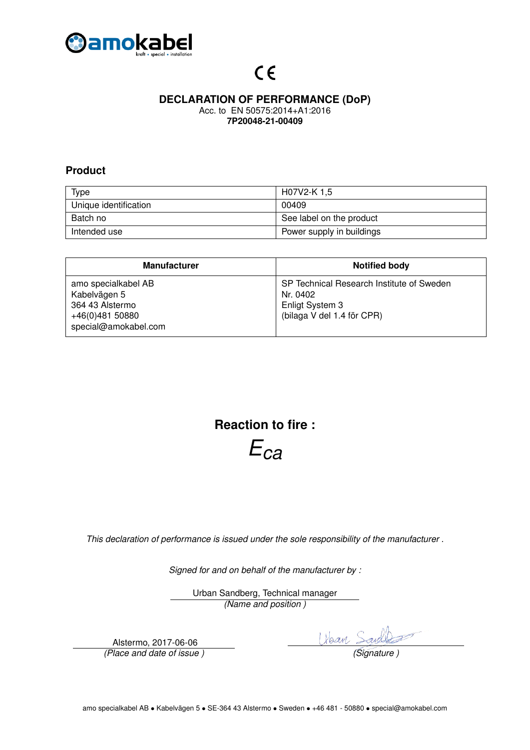

## **DECLARATION OF PERFORMANCE (DoP)**

Acc. to EN 50575:2014+A1:2016 **7P20048-21-00409**

### **Product**

| <b>Type</b>           | H07V2-K 1,5               |
|-----------------------|---------------------------|
| Unique identification | 00409                     |
| Batch no              | See label on the product  |
| Intended use          | Power supply in buildings |

| <b>Manufacturer</b>                                                                               | <b>Notified body</b>                                                                                   |
|---------------------------------------------------------------------------------------------------|--------------------------------------------------------------------------------------------------------|
| amo specialkabel AB<br>Kabelvägen 5<br>364 43 Alstermo<br>+46(0)481 50880<br>special@amokabel.com | SP Technical Research Institute of Sweden<br>Nr. 0402<br>Enligt System 3<br>(bilaga V del 1.4 för CPR) |

**Reaction to fire :**

*Eca*

*This declaration of performance is issued under the sole responsibility of the manufacturer .*

*Signed for and on behalf of the manufacturer by :*

Urban Sandberg, Technical manager *(Name and position )*

Alstermo, 2017-06-06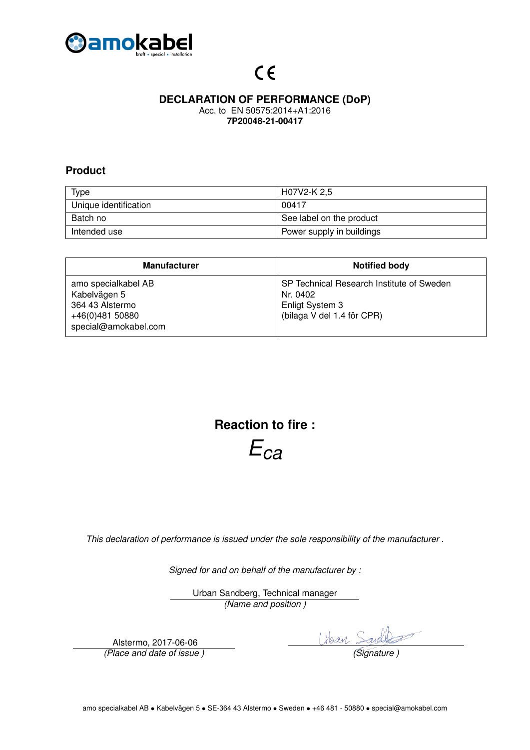

### **DECLARATION OF PERFORMANCE (DoP)**

Acc. to EN 50575:2014+A1:2016 **7P20048-21-00417**

#### **Product**

| <b>Type</b>           | H07V2-K 2,5               |
|-----------------------|---------------------------|
| Unique identification | 00417                     |
| Batch no              | See label on the product  |
| Intended use          | Power supply in buildings |

| <b>Manufacturer</b>                                                                               | <b>Notified body</b>                                                                                   |
|---------------------------------------------------------------------------------------------------|--------------------------------------------------------------------------------------------------------|
| amo specialkabel AB<br>Kabelvägen 5<br>364 43 Alstermo<br>+46(0)481 50880<br>special@amokabel.com | SP Technical Research Institute of Sweden<br>Nr. 0402<br>Enligt System 3<br>(bilaga V del 1.4 för CPR) |

**Reaction to fire :**

*Eca*

*This declaration of performance is issued under the sole responsibility of the manufacturer .*

*Signed for and on behalf of the manufacturer by :*

Urban Sandberg, Technical manager *(Name and position )*

Alstermo, 2017-06-06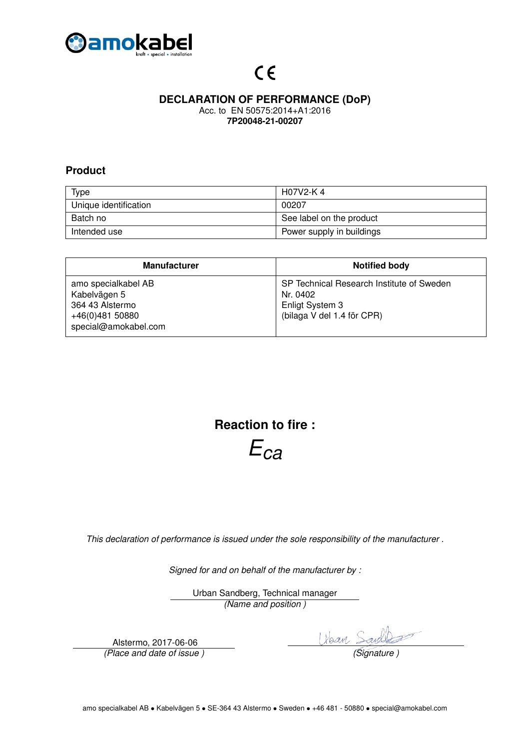

### **DECLARATION OF PERFORMANCE (DoP)**

Acc. to EN 50575:2014+A1:2016 **7P20048-21-00207**

### **Product**

| <b>Type</b>           | H07V2-K 4                 |
|-----------------------|---------------------------|
| Unique identification | 00207                     |
| Batch no              | See label on the product  |
| Intended use          | Power supply in buildings |

| <b>Manufacturer</b>                                                                               | <b>Notified body</b>                                                                                   |
|---------------------------------------------------------------------------------------------------|--------------------------------------------------------------------------------------------------------|
| amo specialkabel AB<br>Kabelvägen 5<br>364 43 Alstermo<br>+46(0)481 50880<br>special@amokabel.com | SP Technical Research Institute of Sweden<br>Nr. 0402<br>Enligt System 3<br>(bilaga V del 1.4 för CPR) |

**Reaction to fire :**

*Eca*

*This declaration of performance is issued under the sole responsibility of the manufacturer .*

*Signed for and on behalf of the manufacturer by :*

Urban Sandberg, Technical manager *(Name and position )*

Alstermo, 2017-06-06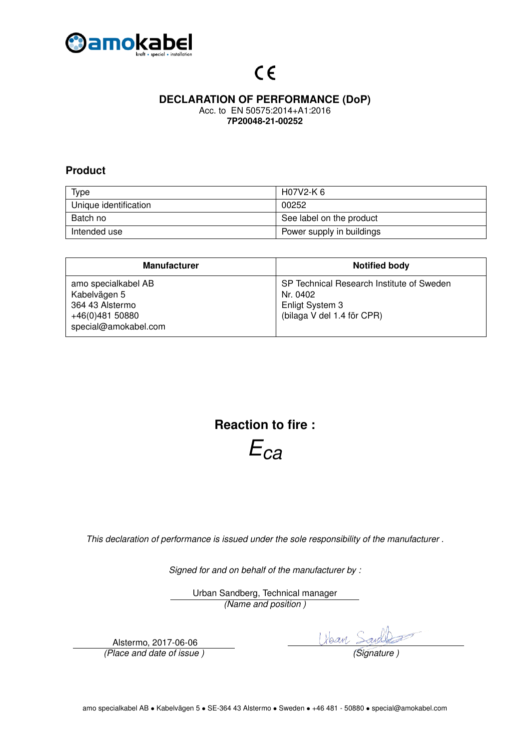

### **DECLARATION OF PERFORMANCE (DoP)**

Acc. to EN 50575:2014+A1:2016 **7P20048-21-00252**

### **Product**

| <b>Type</b>           | H07V2-K 6                 |
|-----------------------|---------------------------|
| Unique identification | 00252                     |
| Batch no              | See label on the product  |
| Intended use          | Power supply in buildings |

| <b>Manufacturer</b>                                                                               | <b>Notified body</b>                                                                                   |
|---------------------------------------------------------------------------------------------------|--------------------------------------------------------------------------------------------------------|
| amo specialkabel AB<br>Kabelvägen 5<br>364 43 Alstermo<br>+46(0)481 50880<br>special@amokabel.com | SP Technical Research Institute of Sweden<br>Nr. 0402<br>Enligt System 3<br>(bilaga V del 1.4 för CPR) |

**Reaction to fire :**

*Eca*

*This declaration of performance is issued under the sole responsibility of the manufacturer .*

*Signed for and on behalf of the manufacturer by :*

Urban Sandberg, Technical manager *(Name and position )*

Alstermo, 2017-06-06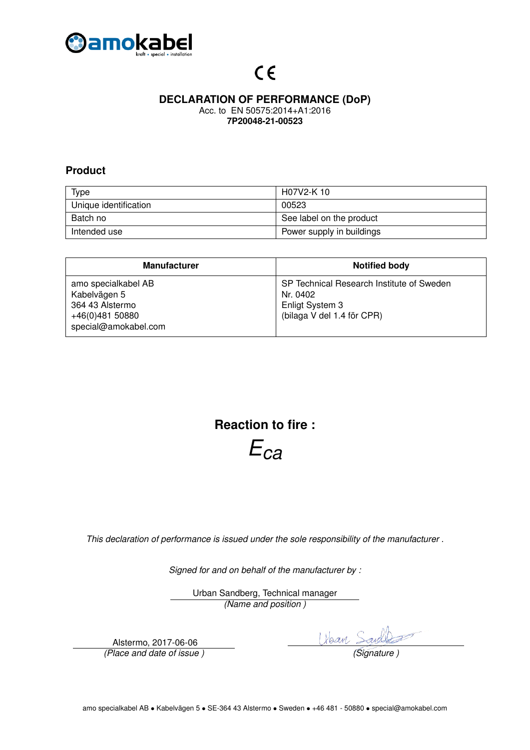

### **DECLARATION OF PERFORMANCE (DoP)**

Acc. to EN 50575:2014+A1:2016 **7P20048-21-00523**

### **Product**

| <b>Type</b>           | H07V2-K 10                |
|-----------------------|---------------------------|
| Unique identification | 00523                     |
| Batch no              | See label on the product  |
| Intended use          | Power supply in buildings |

| <b>Manufacturer</b>                                                                               | <b>Notified body</b>                                                                                   |
|---------------------------------------------------------------------------------------------------|--------------------------------------------------------------------------------------------------------|
| amo specialkabel AB<br>Kabelvägen 5<br>364 43 Alstermo<br>+46(0)481 50880<br>special@amokabel.com | SP Technical Research Institute of Sweden<br>Nr. 0402<br>Enligt System 3<br>(bilaga V del 1.4 för CPR) |

**Reaction to fire :**

*Eca*

*This declaration of performance is issued under the sole responsibility of the manufacturer .*

*Signed for and on behalf of the manufacturer by :*

Urban Sandberg, Technical manager *(Name and position )*

Alstermo, 2017-06-06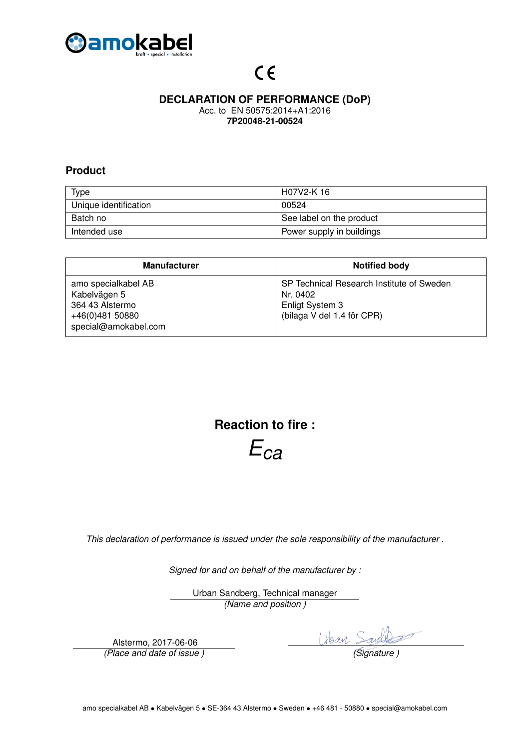

### **DECLARATION OF PERFORMANCE (DoP)**

Acc. to EN 50575:2014+A1:2016 **7P20048-21-00524**

### **Product**

| <b>Type</b>           | H07V2-K 16                |
|-----------------------|---------------------------|
| Unique identification | 00524                     |
| Batch no              | See label on the product  |
| Intended use          | Power supply in buildings |

| <b>Manufacturer</b>                                                                               | <b>Notified body</b>                                                                                   |
|---------------------------------------------------------------------------------------------------|--------------------------------------------------------------------------------------------------------|
| amo specialkabel AB<br>Kabelvägen 5<br>364 43 Alstermo<br>+46(0)481 50880<br>special@amokabel.com | SP Technical Research Institute of Sweden<br>Nr. 0402<br>Enligt System 3<br>(bilaga V del 1.4 för CPR) |

**Reaction to fire :**

*Eca*

*This declaration of performance is issued under the sole responsibility of the manufacturer .*

*Signed for and on behalf of the manufacturer by :*

Urban Sandberg, Technical manager *(Name and position )*

Alstermo, 2017-06-06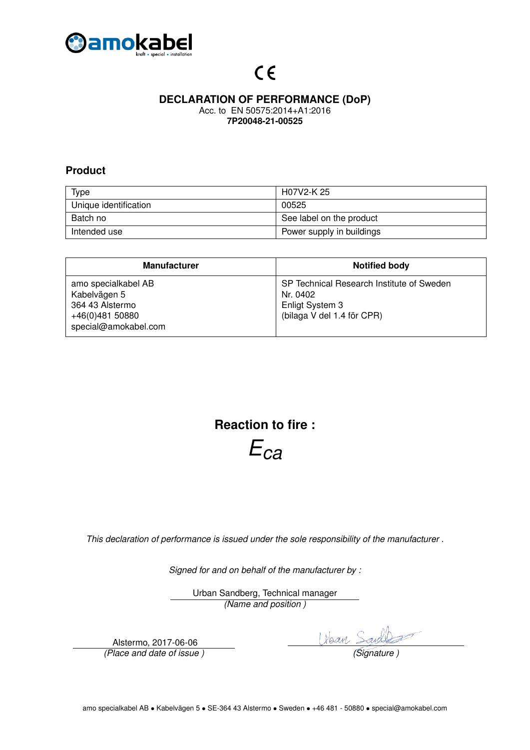

### **DECLARATION OF PERFORMANCE (DoP)**

Acc. to EN 50575:2014+A1:2016 **7P20048-21-00525**

#### **Product**

| <b>Type</b>           | H07V2-K 25                |
|-----------------------|---------------------------|
| Unique identification | 00525                     |
| Batch no              | See label on the product  |
| Intended use          | Power supply in buildings |

| <b>Manufacturer</b>                                                                               | <b>Notified body</b>                                                                                   |
|---------------------------------------------------------------------------------------------------|--------------------------------------------------------------------------------------------------------|
| amo specialkabel AB<br>Kabelvägen 5<br>364 43 Alstermo<br>+46(0)481 50880<br>special@amokabel.com | SP Technical Research Institute of Sweden<br>Nr. 0402<br>Enligt System 3<br>(bilaga V del 1.4 för CPR) |

**Reaction to fire :**

*Eca*

*This declaration of performance is issued under the sole responsibility of the manufacturer .*

*Signed for and on behalf of the manufacturer by :*

Urban Sandberg, Technical manager *(Name and position )*

Alstermo, 2017-06-06